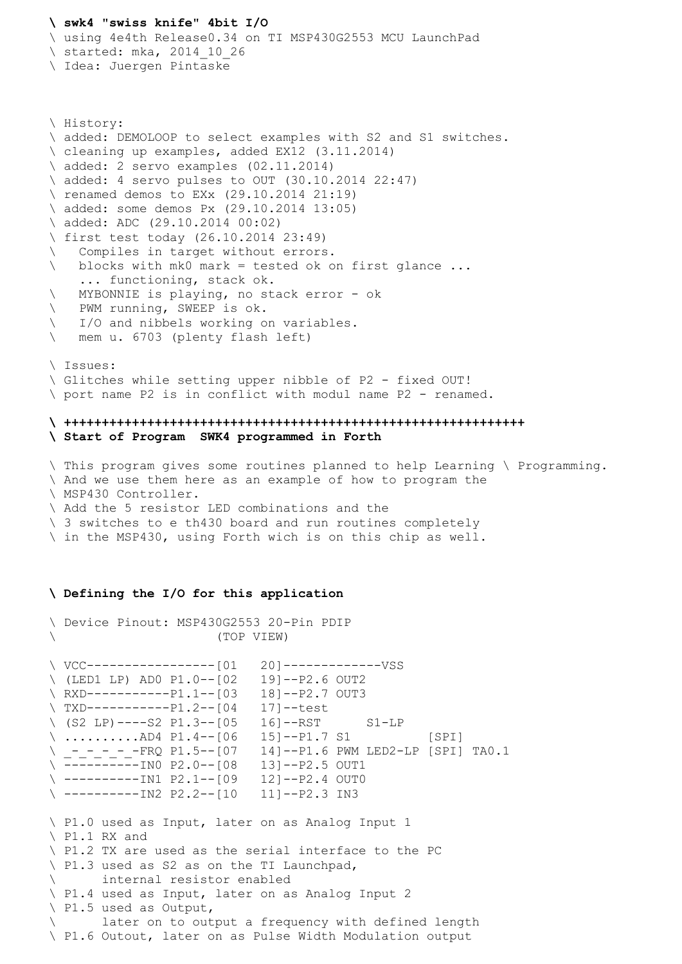## **\ swk4 "swiss knife" 4bit I/O**

\ using 4e4th Release0.34 on TI MSP430G2553 MCU LaunchPad \ started: mka, 2014 10 26

\ Idea: Juergen Pintaske

```
\ History:
\ added: DEMOLOOP to select examples with S2 and S1 switches.
\ cleaning up examples, added EX12 (3.11.2014)
\ added: 2 servo examples (02.11.2014)
\ added: 4 servo pulses to OUT (30.10.2014 22:47) 
\ renamed demos to EXx (29.10.2014 21:19)
\ added: some demos Px (29.10.2014 13:05)
\ added: ADC (29.10.2014 00:02)
\ first test today (26.10.2014 23:49)
\ Compiles in target without errors.
\ blocks with mk0 mark = tested ok on first glance ...
     ... functioning, stack ok.
\ MYBONNIE is playing, no stack error - ok
\ PWM running, SWEEP is ok. 
\ I/O and nibbels working on variables.
\ mem u. 6703 (plenty flash left) 
\ Issues:
\ Glitches while setting upper nibble of P2 - fixed OUT! 
\ port name P2 is in conflict with modul name P2 - renamed. 
\ +++++++++++++++++++++++++++++++++++++++++++++++++++++++++++++
\ Start of Program SWK4 programmed in Forth
```
\ This program gives some routines planned to help Learning \ Programming. \ And we use them here as an example of how to program the \ MSP430 Controller. \ Add the 5 resistor LED combinations and the \ 3 switches to e th430 board and run routines completely \ in the MSP430, using Forth wich is on this chip as well.

## **\ Defining the I/O for this application**

```
\ Device Pinout: MSP430G2553 20-Pin PDIP 
                     \ (TOP VIEW) 
\ VCC-----------------[01 20]-------------VSS 
\ (LED1 LP) AD0 P1.0--[02 19]--P2.6 OUT2 
\ RXD-----------P1.1--[03 18]--P2.7 OUT3 
\ TXD-----------P1.2--[04 17]--test
\setminus (S2 LP)----S2 P1.3--[05 16]--RST S1-LP
\ ..........AD4 P1.4--[06 15]--P1.7 S1 [SPI] 
\ _-_-_-_-_-FRQ P1.5--[07 14]--P1.6 PWM LED2-LP [SPI] TA0.1
\ ----------IN0 P2.0--[08 13]--P2.5 OUT1 
\ ----------IN1 P2.1--[09 12]--P2.4 OUT0 
\ ----------IN2 P2.2--[10 11]--P2.3 IN3 
\ P1.0 used as Input, later on as Analog Input 1
\ P1.1 RX and 
\ P1.2 TX are used as the serial interface to the PC
\ P1.3 used as S2 as on the TI Launchpad, 
\ internal resistor enabled
\ P1.4 used as Input, later on as Analog Input 2
\ P1.5 used as Output, 
\ later on to output a frequency with defined length
\ P1.6 Outout, later on as Pulse Width Modulation output
```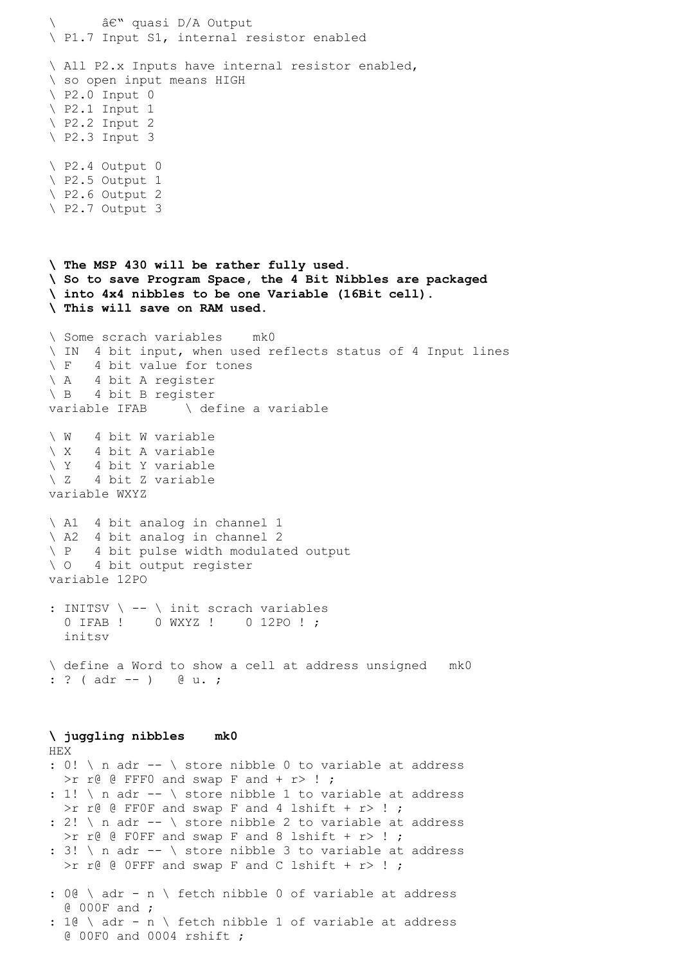```
â€" quasi D/A Output
\ P1.7 Input S1, internal resistor enabled
\ All P2.x Inputs have internal resistor enabled, 
\ so open input means HIGH
\setminus P2.0 Input 0
\ P2.1 Input 1 
\ P2.2 Input 2 
\ P2.3 Input 3 
\ P2.4 Output 0
\ P2.5 Output 1
\ P2.6 Output 2
\ P2.7 Output 3
\ The MSP 430 will be rather fully used. 
\ So to save Program Space, the 4 Bit Nibbles are packaged 
\ into 4x4 nibbles to be one Variable (16Bit cell).
\ This will save on RAM used.
\ Some scrach variables mk0
\ IN 4 bit input, when used reflects status of 4 Input lines
\ F 4 bit value for tones
\ A 4 bit A register
\ B 4 bit B register
variable IFAB \ define a variable
\ W 4 bit W variable
\ X 4 bit A variable
\ Y 4 bit Y variable
\ Z 4 bit Z variable
variable WXYZ 
\ A1 4 bit analog in channel 1
\ A2 4 bit analog in channel 2
\ P 4 bit pulse width modulated output 
\ O 4 bit output register
variable 12PO 
: INITSV \ -- \ init scrach variables
  0 IFAB ! 0 WXYZ ! 0 12PO ! ;
   initsv
\ define a Word to show a cell at address unsigned mk0
: ? ( adr -- ) @ u. ;
\ juggling nibbles mk0
HEX 
: 0! \ n adr -- \ store nibble 0 to variable at address 
  >r r@ @ FFF0 and swap F and + r> ! ;
: 1! \ n adr -- \ store nibble 1 to variable at address 
  >r r@ @ FFOF and swap F and 4 lshift + r> ! ;
: 2! \setminus n adr -- \setminus store nibble 2 to variable at address
  >r r@ @ F0FF and swap F and 8 lshift + r> ! ;
: 3! \ n adr -- \ store nibble 3 to variable at address 
  >r r@ @ OFFF and swap F and C lshift + r> ! ;
: 0@ \ adr - n \ fetch nibble 0 of variable at address 
   @ 000F and ; 
: 1@ \ adr - n \ fetch nibble 1 of variable at address 
   @ 00F0 and 0004 rshift ;
```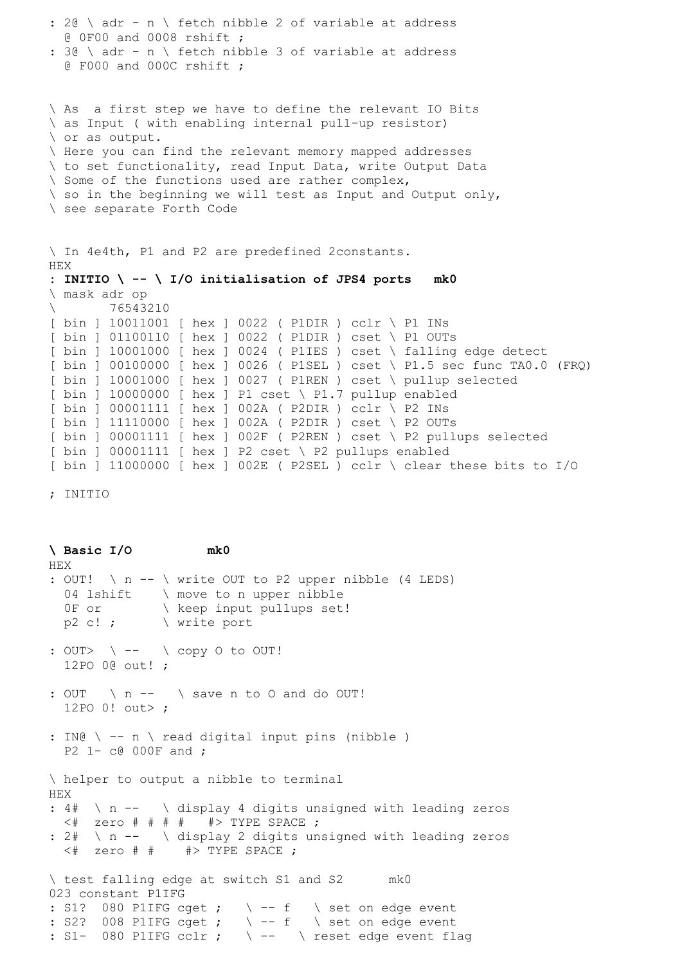```
: 2@ \ adr - n \ fetch nibble 2 of variable at address 
  @ 0F00 and 0008 rshift ; 
: 3@ \ adr - n \ fetch nibble 3 of variable at address 
   @ F000 and 000C rshift ; 
\ As a first step we have to define the relevant IO Bits
\ as Input ( with enabling internal pull-up resistor)
\ or as output.
\ Here you can find the relevant memory mapped addresses
\ to set functionality, read Input Data, write Output Data
\ Some of the functions used are rather complex, 
\setminus so in the beginning we will test as Input and Output only,
\ see separate Forth Code
\ In 4e4th, P1 and P2 are predefined 2constants.
HEX 
: INITIO \ -- \ I/O initialisation of JPS4 ports mk0
\ mask adr op 
\ 76543210 
[ bin ] 10011001 [ hex ] 0022 ( P1DIR ) cclr \ P1 INs 
[ bin ] 01100110 [ hex ] 0022 ( P1DIR ) cset \ P1 OUTs 
[ bin ] 10001000 [ hex ] 0024 ( P1IES ) cset \ falling edge detect
[ bin ] 00100000 [ hex ] 0026 ( P1SEL ) cset \ P1.5 sec func TA0.0 (FRQ) 
[ bin ] 10001000 [ hex ] 0027 ( P1REN ) cset \ pullup selected 
[ bin ] 10000000 [ hex ] P1 cset \ P1.7 pullup enabled 
[ bin ] 00001111 [ hex ] 002A ( P2DIR ) cclr \ P2 INs 
[ bin ] 11110000 [ hex ] 002A ( P2DIR ) cset \ P2 OUTs 
[ bin ] 00001111 [ hex ] 002F ( P2REN ) cset \ P2 pullups selected 
[ bin ] 00001111 [ hex ] P2 cset \ P2 pullups enabled
[ bin ] 11000000 [ hex ] 002E ( P2SEL ) cclr \ clear these bits to I/O
```
; INITIO

**\ Basic I/O mk0** HEX : OUT! \ n -- \ write OUT to P2 upper nibble (4 LEDS) 04 lshift \ move to n upper nibble 0F or \ keep input pullups set!  $p2 c!$ ;  $\setminus$  write port : OUT>  $\setminus$  --  $\setminus$  copy O to OUT! 12PO 0@ out! ; : OUT \ n -- \ save n to 0 and do OUT! 12PO 0! out> ; : IN@ \ -- n \ read digital input pins (nibble ) P2 1- c@ 000F and ; \ helper to output a nibble to terminal HEX : 4# \ n -- \ display 4 digits unsigned with leading zeros  $\lt$ # zero # # # # # #> TYPE SPACE ; : 2# \ n -- \ display 2 digits unsigned with leading zeros  $\lt$ # zero # #  $\gt$  TYPE SPACE ; \ test falling edge at switch S1 and S2 mk0 023 constant P1IFG : S1? 080 P1IFG cget ;  $\setminus$  -- f  $\setminus$  set on edge event : S2? 008 PlIFG cqet ;  $\setminus$  -- f  $\setminus$  set on edge event : S1- 080 P1IFG cclr ;  $\backslash$  --  $\backslash$  reset edge event flag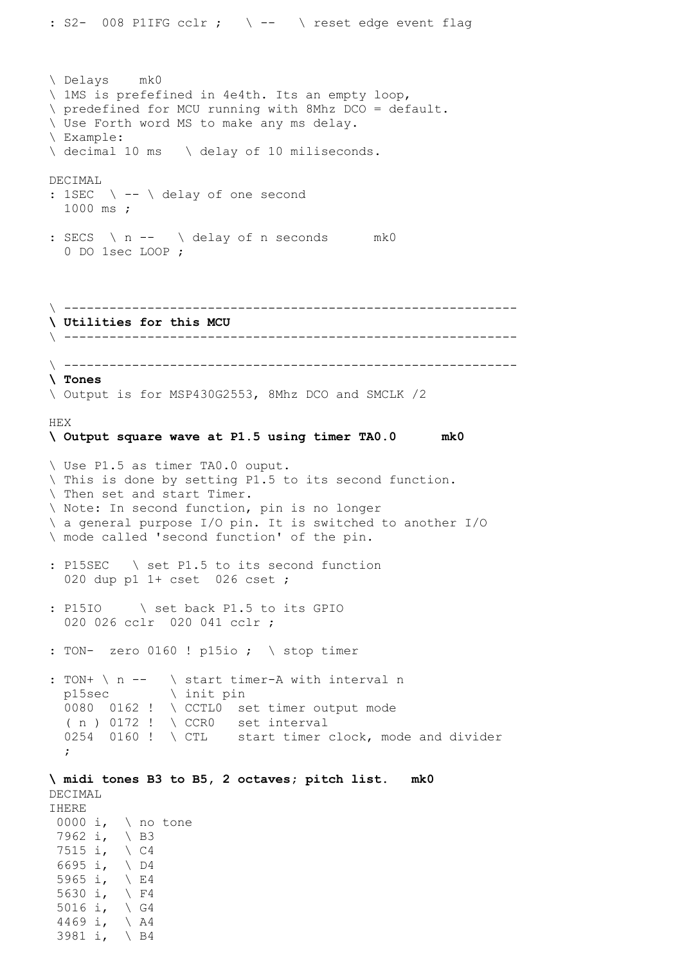```
\ Delays mk0
\ 1MS is prefefined in 4e4th. Its an empty loop,
\ predefined for MCU running with 8Mhz DCO = default.
\ Use Forth word MS to make any ms delay. 
\ Example: 
\ decimal 10 ms \ delay of 10 miliseconds.
DECIMAL
: 1SEC \ -- \ delay of one second
  1000 ms ;
: SECS \ n -- \ delay of n seconds mk0
   0 DO 1sec LOOP ; 
\ ------------------------------------------------------------
\ Utilities for this MCU
\ ------------------------------------------------------------
\ ------------------------------------------------------------
\ Tones
\ Output is for MSP430G2553, 8Mhz DCO and SMCLK /2
HEX
\ Output square wave at P1.5 using timer TA0.0 mk0
\ Use P1.5 as timer TA0.0 ouput.
\ This is done by setting P1.5 to its second function.
\ Then set and start Timer.
\ Note: In second function, pin is no longer 
\ a general purpose I/O pin. It is switched to another I/O
\ mode called 'second function' of the pin.
: P15SEC \ set P1.5 to its second function 
  020 dup p1 1+ cset 026 cset ; 
: P15IO \ set back P1.5 to its GPIO
  020 026 cclr 020 041 cclr ;
: TON- zero 0160 ! p15io ; \setminus stop timer
: TON+ \ n -- \ start timer-A with interval n
  p15sec \ init pin
  0080 0162 ! \ CCTL0 set timer output mode
  (n) 0172 ! \setminus CCR0 set interval
 0254 0160 ! \ CTL start timer clock, mode and divider
  ;
\ midi tones B3 to B5, 2 octaves; pitch list. mk0
DECIMAL 
IHERE 
 0000 i, \ no tone
7962 i, \ B3 
 7515 i, \ C4 
 6695 i, \ D4 
 5965 i, \ E4 
 5630 i, \sqrt{F4}5016 i, \sqrt{G4}4469 i, \ A4
```
3981 i, \ B4

: S2- 008 P1IFG cclr ;  $\setminus$  --  $\setminus$  reset edge event flag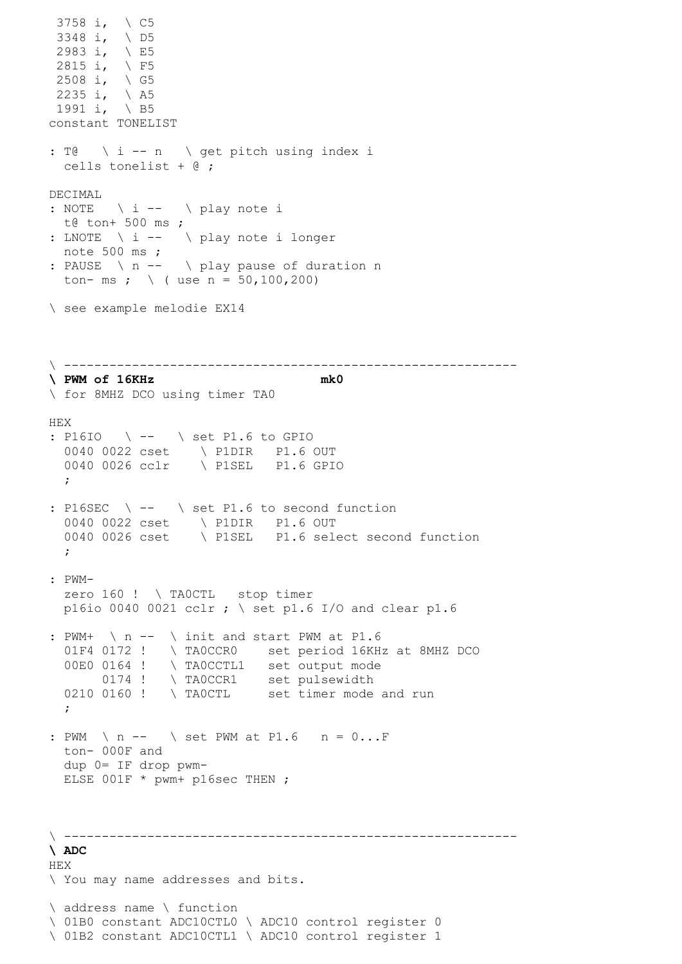```
3758 i, \ C5 
 3348 i, \ D5 
 2983 i, \ E5 
2815 i, \ F5 
2508 i, \sqrt{G5}2235 i, \setminus A5
 1991 i, \setminus B5
constant TONELIST
: T@ \ i -- n \ get pitch using index i 
  cells tonelist + @ ;
DECIMAL 
: NOTE \setminus i -- \setminus play note i
  t@ ton+ 500 ms ;
: LNOTE \ i -- \ play note i longer
  note 500 ms ;
: PAUSE \ n -- \ play pause of duration n
 ton- ms ; \ ( use n = 50,100,200)
\ see example melodie EX14
\ ------------------------------------------------------------
\ PWM of 16KHz
\ for 8MHZ DCO using timer TA0
HEX
: P16IO \ -- \ set P1.6 to GPIO 
 0040 0022 cset \ P1DIR P1.6 OUT 
 0040 0026 cclr \ P1SEL P1.6 GPIO 
  ; 
: P16SEC \ -- \ set P1.6 to second function
 0040 0022 cset \ P1DIR P1.6 OUT 
 0040 0026 cset \ P1SEL P1.6 select second function 
   ; 
: PWM- 
 zero 160 ! \ TAOCTL stop timer
 p16io 0040 0021 cclr ; \ set p1.6 I/O and clear p1.6
: PWM+ \ n -- \ init and start PWM at P1.6 
 01F4 0172 ! \ TA0CCR0 set period 16KHz at 8MHZ DCO
  00E0 0164 ! \ TA0CCTL1 set output mode
0174 ! \ TA0CCR1 set pulsewidth
0210 0160 ! \ TA0CTL set timer mode and run
   ;
: PWM \ n -- \ set PWM at P1.6 n = 0...F
  ton- 000F and
  dup 0= IF drop pwm-
  ELSE 001F * pwm+ p16sec THEN ;
\ ------------------------------------------------------------
\ ADC 
HEX
\ You may name addresses and bits.
\ address name \ function
\ 01B0 constant ADC10CTL0 \ ADC10 control register 0
\ 01B2 constant ADC10CTL1 \ ADC10 control register 1
```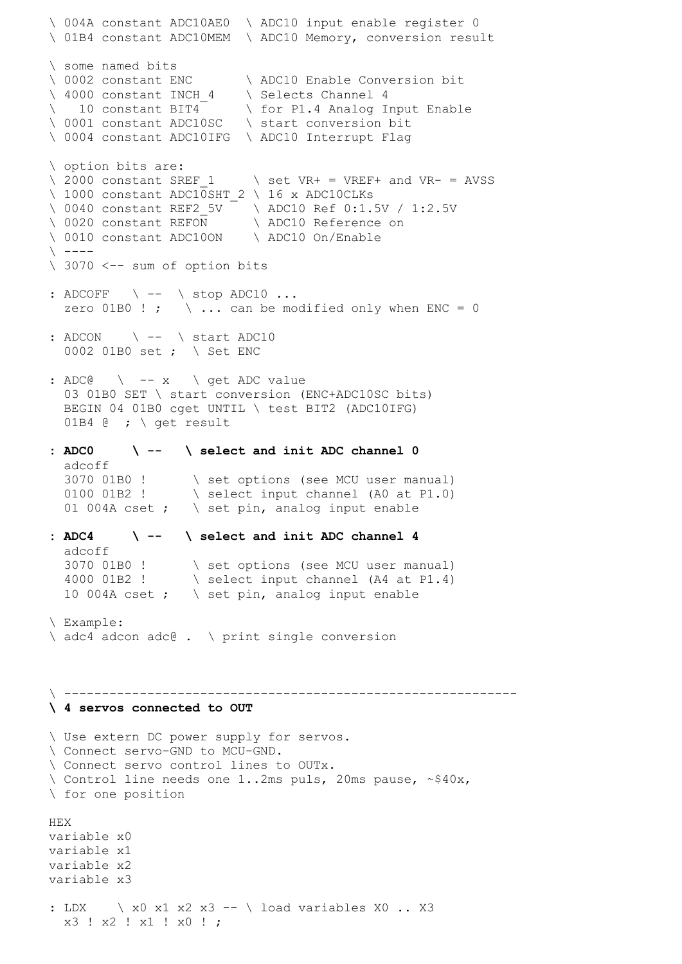\ 004A constant ADC10AE0 \ ADC10 input enable register 0 \ 01B4 constant ADC10MEM \ ADC10 Memory, conversion result \ some named bits \ 0002 constant ENC \ ADC10 Enable Conversion bit \ 4000 constant INCH 4 \ Selects Channel 4 \ 10 constant BIT4 \ for P1.4 Analog Input Enable \ 0001 constant ADC10SC \ start conversion bit \ 0004 constant ADC10IFG \ ADC10 Interrupt Flag \ option bits are:  $\backslash$  2000 constant SREF 1  $\backslash$  set VR+ = VREF+ and VR- = AVSS \ 1000 constant ADC10SHT 2 \ 16 x ADC10CLKs \ 0040 constant REF2 5V \ ADC10 Ref 0:1.5V / 1:2.5V \ 0020 constant REFON \ ADC10 Reference on \ 0010 constant ADC10ON \ ADC10 On/Enable  $\setminus$   $---$ \ 3070 <-- sum of option bits : ADCOFF \ -- \ stop ADC10 ... zero 01B0 ! ;  $\ldots$  can be modified only when ENC = 0  $:$  ADCON  $\setminus$  --  $\setminus$  start ADC10 0002 01B0 set ; \ Set ENC : ADC $@$   $\qquad$  -- x  $\qquad$  get ADC value 03 01B0 SET \ start conversion (ENC+ADC10SC bits) BEGIN 04 01B0 cget UNTIL \ test BIT2 (ADC10IFG) 01B4  $@; \backslash$  get result **: ADC0 \ -- \ select and init ADC channel 0**  adcoff 3070 01B0 ! \ set options (see MCU user manual) 0100 01B2 !  $\sqrt{\text{select input channel (A0 at P1.0)}}$ 01 004A cset ;  $\setminus$  set pin, analog input enable **: ADC4 \ -- \ select and init ADC channel 4**  adcoff 3070 01B0 ! \ set options (see MCU user manual) 4000 01B2 ! \ select input channel (A4 at P1.4) 10 004A cset ;  $\setminus$  set pin, analog input enable \ Example: \ adc4 adcon adc@ . \ print single conversion \ ------------------------------------------------------------ **\ 4 servos connected to OUT** \ Use extern DC power supply for servos. \ Connect servo-GND to MCU-GND. \ Connect servo control lines to OUTx.  $\setminus$  Control line needs one 1..2ms puls, 20ms pause, ~\$40x, \ for one position HEX variable x0 variable x1 variable x2 variable x3 : LDX \ x0 x1 x2 x3 -- \ load variables X0 .. X3 x3 ! x2 ! x1 ! x0 ! ;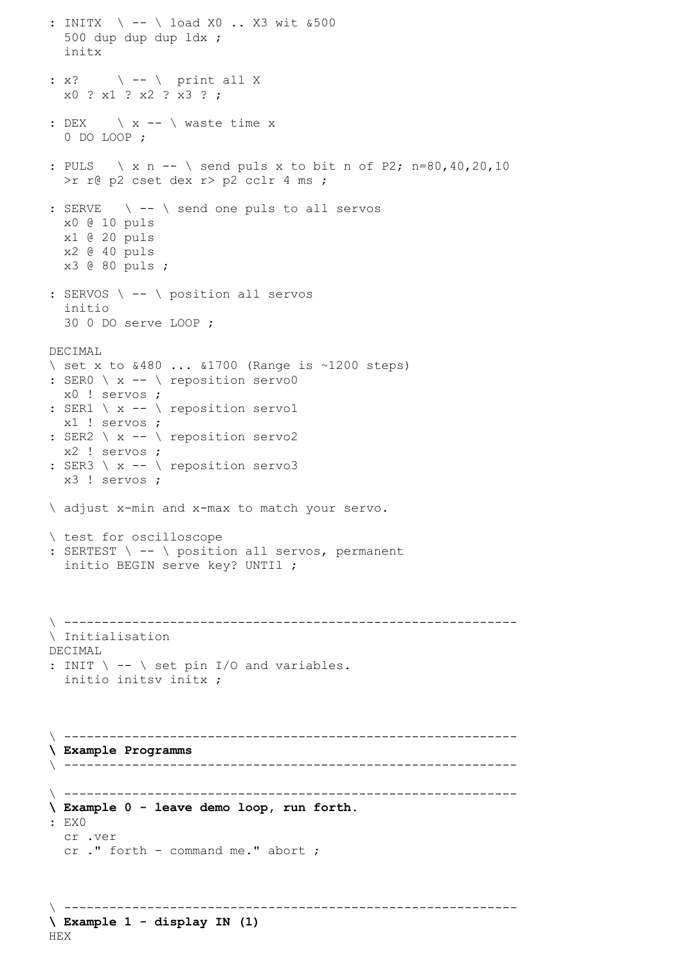```
: INITX \ -- \ load X0 .. X3 wit &500
   500 dup dup dup ldx ; 
   initx
: x? \setminus -- \setminus print all X
   x0 ? x1 ? x2 ? x3 ? ;
: DEX \setminus x -- \setminus waste time x
   0 DO LOOP ;
: PULS \ x n -- \ send puls x to bit n of P2; n=80,40,20,10
   >r r@ p2 cset dex r> p2 cclr 4 ms ;
: SERVE \ -- \ send one puls to all servos
  x0 @ 10 puls 
   x1 @ 20 puls
   x2 @ 40 puls
   x3 @ 80 puls ;
: SERVOS \ -- \ position all servos
   initio
   30 0 DO serve LOOP ;
DECIMAL
\backslash set x to \&480... \&1700 (Range is ~1200 steps)
: SER0 \ x -- \ reposition servo0
  x0 ! servos ;
: SER1 \ x -- \ reposition servo1
  x1 ! servos ;
: SER2 \ x -- \ reposition servo2
  x2 ! servos ;
: SER3 \ x -- \ reposition servo3
  x3 ! servos ;
\ adjust x-min and x-max to match your servo.
\ test for oscilloscope
: SERTEST \ -- \ position all servos, permanent
   initio BEGIN serve key? UNTIl ;
\ ------------------------------------------------------------
\ Initialisation
DECIMAL 
: INIT \backslash -- \backslash set pin I/O and variables.
  initio initsv initx ; 
\ ------------------------------------------------------------
\ Example Programms
\ ------------------------------------------------------------
\ ------------------------------------------------------------
\ Example 0 - leave demo loop, run forth.
: EX0 
  cr .ver
   cr ." forth - command me." abort ;
\ ------------------------------------------------------------
```

```
\ Example 1 - display IN (1)
HEX
```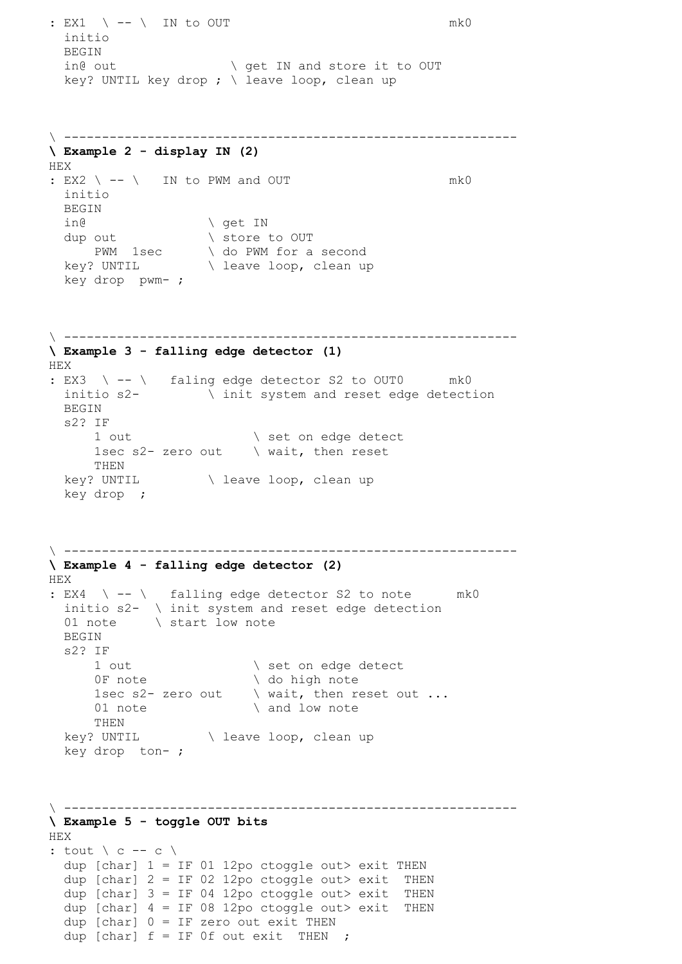: EX1 \ -- \ IN to OUT mk0 initio BEGIN in@ out  $\setminus$  get IN and store it to OUT key? UNTIL key drop ; \ leave loop, clean up \ ------------------------------------------------------------ **\ Example 2 - display IN (2)** HEX : EX2 \ -- \ IN to PWM and OUT mk0 initio BEGIN in@  $\qquad \qquad \backslash$  get IN dup out  $\setminus$  store to OUT PWM 1sec \ do PWM for a second key? UNTIL  $\setminus$  leave loop, clean up key drop pwm- ; \ ------------------------------------------------------------ **\ Example 3 - falling edge detector (1)** HEX : EX3 \ -- \ faling edge detector S2 to OUT0 mk0 initio s2- \ init system and reset edge detection BEGIN s2? IF 1 out  $\setminus$  set on edge detect 1sec s2- zero out  $\qquad \setminus$  wait, then reset THEN key? UNTIL \ leave loop, clean up key drop ; \ ------------------------------------------------------------ **\ Example 4 - falling edge detector (2)** HEX : EX4  $\backslash$  --  $\backslash$  falling edge detector S2 to note mk0 initio s2- \ init system and reset edge detection 01 note  $\overrightarrow{\ }$  start low note BEGIN s2? IF 1 out  $\setminus$  set on edge detect<br>OF note  $\setminus$  do high note  $\setminus$  do high note 1sec s2- zero out  $\qquad \setminus$  wait, then reset out ... 01 note  $\qquad \qquad \qquad$  and low note THEN key? UNTIL \ leave loop, clean up key drop ton- ; \ ------------------------------------------------------------ **\ Example 5 - toggle OUT bits** HEX : tout  $\langle c -c \rangle$ dup [char]  $1 = IF 01 12po ctoggle out > exit THEN$ dup [char]  $2 = IF 02 12po ctoggle out > exit THEN$ dup [char]  $3 = IF 04 12po ctoggle out > exit THEN$ dup [char]  $4 = IF 08 12po ctoggle out > exit THEN$ dup [char]  $0 = IF$  zero out exit THEN dup [char]  $f = IF$  Of out exit THEN ;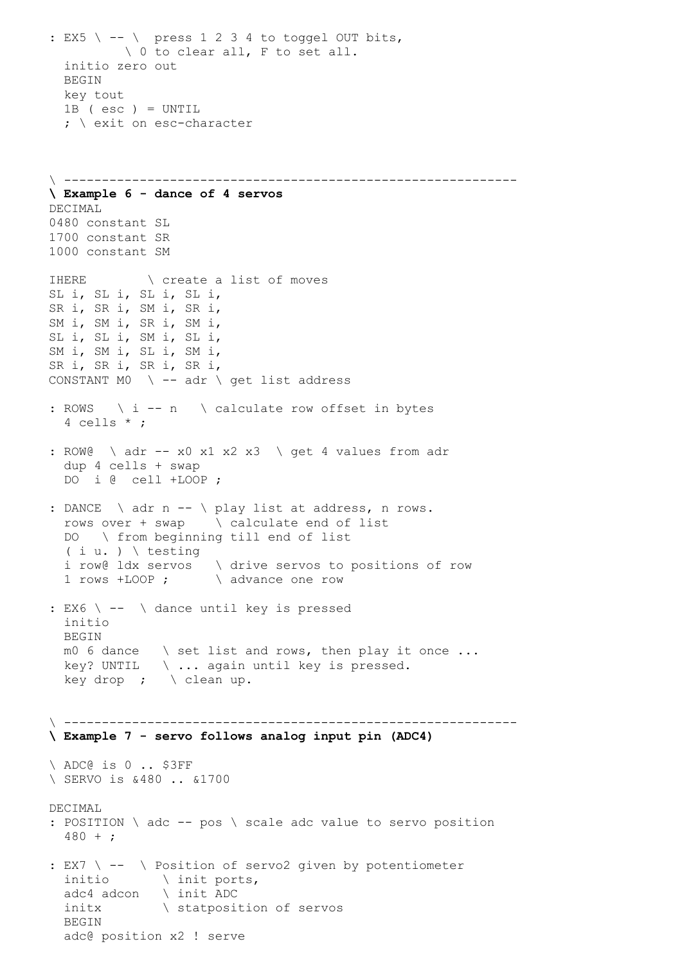: EX5  $\backslash$  --  $\backslash$  press 1 2 3 4 to toggel OUT bits, \ 0 to clear all, F to set all. initio zero out BEGIN key tout 1B ( esc ) = UNTIL ; \ exit on esc-character \ ------------------------------------------------------------ **\ Example 6 - dance of 4 servos** DECIMAL 0480 constant SL 1700 constant SR 1000 constant SM IHERE \ create a list of moves SL i, SL i, SL i, SL i, SR i, SR i, SM i, SR i, SM i, SM i, SR i, SM i, SL i, SL i, SM i, SL i, SM i, SM i, SL i, SM i, SR i, SR i, SR i, SR i, CONSTANT MO  $\setminus$  -- adr  $\setminus$  get list address : ROWS  $\ i -n \ \ \backslash$  calculate row offset in bytes 4 cells \* ; : ROW@ \ adr -- x0 x1 x2 x3 \ get 4 values from adr dup 4 cells + swap DO i @ cell +LOOP ; : DANCE \ adr n -- \ play list at address, n rows. rows over  $+$  swap  $\setminus$  calculate end of list DO \ from beginning till end of list  $(i u. ) \setminus testing$  i row@ ldx servos \ drive servos to positions of row 1 rows +LOOP ; \ advance one row : EX6 \ -- \ dance until key is pressed initio **BEGIN**  m0 6 dance \ set list and rows, then play it once ... key? UNTIL  $\setminus \ldots$  again until key is pressed. key drop ;  $\setminus$  clean up. \ ------------------------------------------------------------ **\ Example 7 - servo follows analog input pin (ADC4)** \ ADC@ is 0 .. \$3FF \ SERVO is &480 .. &1700 DECIMAL : POSITION \ adc -- pos \ scale adc value to servo position 480 + ; : EX7 \ -- \ Position of servo2 given by potentiometer initio \ init ports, adc4 adcon \ init ADC initx  $\setminus$  statposition of servos BEGIN adc@ position x2 ! serve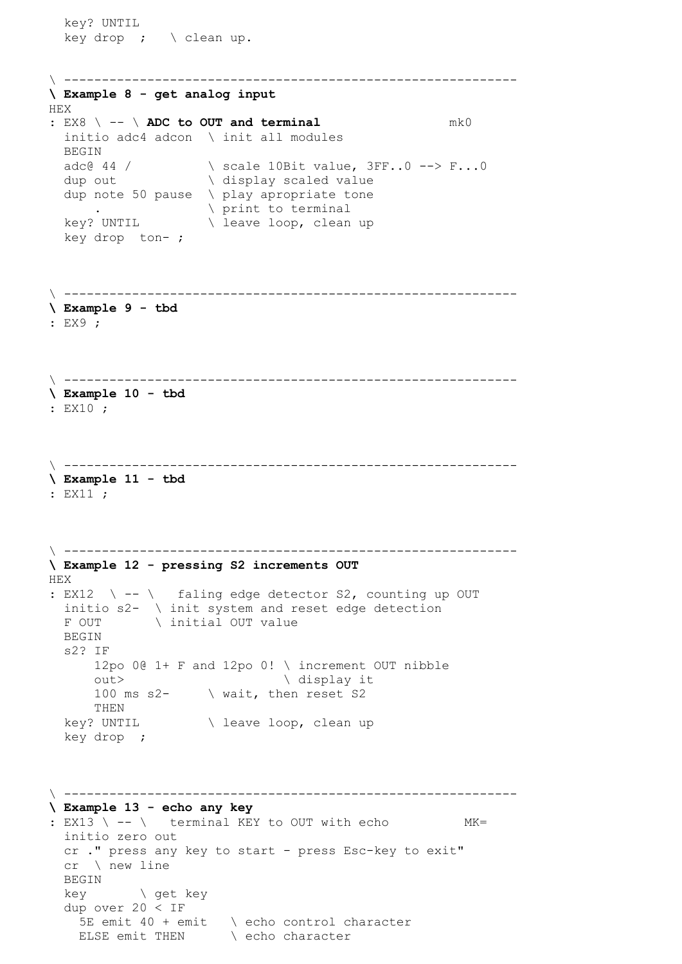key? UNTIL key drop ;  $\setminus$  clean up. \ ------------------------------------------------------------ **\ Example 8 - get analog input** HEX : EX8 \ -- \ **ADC to OUT and terminal** mk0 initio adc4 adcon \ init all modules BEGIN adc@ 44 / \ scale 10Bit value, 3FF..0 --> F...0 dup out  $\setminus$  display scaled value dup note 50 pause \ play apropriate tone . \ print to terminal key? UNTIL \ leave loop, clean up key drop ton- ; \ ------------------------------------------------------------ **\ Example 9 - tbd** : EX9 ; \ ------------------------------------------------------------ **\ Example 10 - tbd** : EX10 ; \ ------------------------------------------------------------ **\ Example 11 - tbd** : EX11 ; \ ------------------------------------------------------------ **\ Example 12 - pressing S2 increments OUT** HEX : EX12  $\backslash$  --  $\backslash$  faling edge detector S2, counting up OUT initio s2- \ init system and reset edge detection F OUT \ initial OUT value BEGIN s2? IF 12po 0@ 1+ F and 12po 0! \ increment OUT nibble out>  $\qquad \qquad \backslash$  display it 100 ms s2- \ wait, then reset S2 THEN key? UNTIL \ leave loop, clean up key drop ; \ ------------------------------------------------------------ **\ Example 13 - echo any key** :  $EX13$   $\rightarrow$  --  $\rightarrow$  terminal KEY to OUT with echo MK= initio zero out cr ." press any key to start - press Esc-key to exit" cr \ new line BEGIN key \ get key dup over 20 < IF 5E emit 40 + emit \ echo control character ELSE emit THEN \ echo character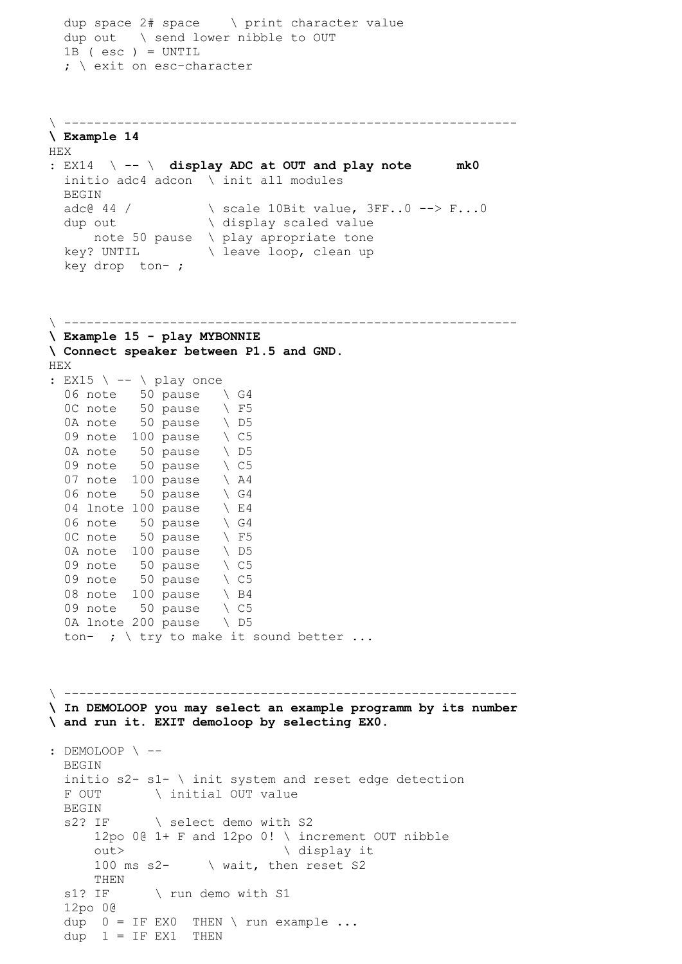```
 dup space 2# space \ print character value
   dup out \ send lower nibble to OUT
   1B ( esc ) = UNTIL 
  ; \ exit on esc-character
\ ------------------------------------------------------------
\ Example 14 
HEX
: EX14 \ -- \ display ADC at OUT and play note mk0
  initio adc4 adcon \ init all modules
  BEGIN 
 adc@ 44 / \angle scale 10Bit value, 3FF..0 --> F...0
 duce if \sqrt{3} display scaled value
      note 50 pause \ play apropriate tone
  key? UNTIL \ leave loop, clean up
   key drop ton- ; 
\ ------------------------------------------------------------
\ Example 15 - play MYBONNIE
\ Connect speaker between P1.5 and GND.
HEX 
: EX15 \ -- \ play once 
  06 note 50 pause \setminus G4
  0C note 50 pause \ F5
  0A note 50 pause \ D5
 09 note 100 pause \ C5 
0A note 50 pause \ D5
  09 note 50 pause \ C5
  07 note 100 pause \ A4
  06 note 50 pause \ G4
  04 lnote 100 pause \sqrt{E4}06 note 50 pause \setminus G4
  0C note 50 pause \ F5
  0A note 100 pause \ D5
  09 note 50 pause \ C5
  09 note 50 pause \ C508 note 100 pause \ B4
   09 note 50 pause \ C5 
  0A lnote 200 pause \ D5
  ton- ; \setminus try to make it sound better ...
\ ------------------------------------------------------------
\ In DEMOLOOP you may select an example programm by its number
\ and run it. EXIT demoloop by selecting EX0.
: DEMOLOOP \ --
   BEGIN
  initio s2 - s1 - \infty init system and reset edge detection
  F OUT \ initial OUT value
  BEGIN
  s2? IF \ select demo with S2
      12po 0@ 1+ F and 12po 0! \ increment OUT nibble
     out> \qquad \qquad \backslash display it
     100 ms s2- \ wait, then reset S2
      THEN 
  s1? IF \ run demo with S1
   12po 0@
  dup 0 = IF EX0 THEN \setminus run example ...dup 1 = IF EX1 THEN
```